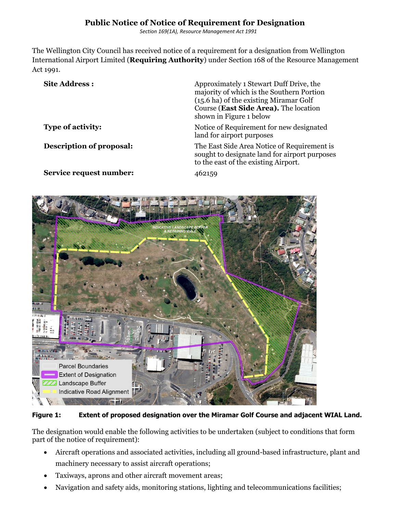## **Public Notice of Notice of Requirement for Designation**

*Section 169(1A), Resource Management Act 1991*

The Wellington City Council has received notice of a requirement for a designation from Wellington International Airport Limited (**Requiring Authority**) under Section 168 of the Resource Management Act 1991.

| <b>Site Address:</b>                                                                                                                                                                                                           | Approximately 1 Stewart Duff Drive, the<br>majority of which is the Southern Portion<br>(15.6 ha) of the existing Miramar Golf<br>Course (East Side Area). The location<br>shown in Figure 1 below |
|--------------------------------------------------------------------------------------------------------------------------------------------------------------------------------------------------------------------------------|----------------------------------------------------------------------------------------------------------------------------------------------------------------------------------------------------|
| <b>Type of activity:</b>                                                                                                                                                                                                       | Notice of Requirement for new designated<br>land for airport purposes                                                                                                                              |
| <b>Description of proposal:</b>                                                                                                                                                                                                | The East Side Area Notice of Requirement is<br>sought to designate land for airport purposes<br>to the east of the existing Airport.                                                               |
| and the contract of the contract of the contract of the contract of the contract of the contract of the contract of the contract of the contract of the contract of the contract of the contract of the contract of the contra |                                                                                                                                                                                                    |

**Service request number:** 462159



#### **Figure 1: Extent of proposed designation over the Miramar Golf Course and adjacent WIAL Land.**

The designation would enable the following activities to be undertaken (subject to conditions that form part of the notice of requirement):

- Aircraft operations and associated activities, including all ground-based infrastructure, plant and machinery necessary to assist aircraft operations;
- Taxiways, aprons and other aircraft movement areas;
- Navigation and safety aids, monitoring stations, lighting and telecommunications facilities;